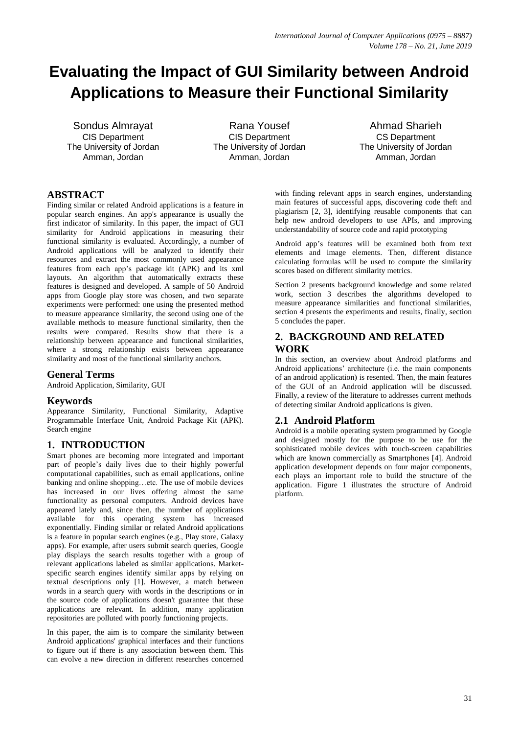# **Evaluating the Impact of GUI Similarity between Android Applications to Measure their Functional Similarity**

Sondus Almrayat CIS Department The University of Jordan Amman, Jordan

Rana Yousef CIS Department The University of Jordan Amman, Jordan

Ahmad Sharieh CS Department The University of Jordan Amman, Jordan

## **ABSTRACT**

Finding similar or related Android applications is a feature in popular search engines. An app's appearance is usually the first indicator of similarity. In this paper, the impact of GUI similarity for Android applications in measuring their functional similarity is evaluated. Accordingly, a number of Android applications will be analyzed to identify their resources and extract the most commonly used appearance features from each app's package kit (APK) and its xml layouts. An algorithm that automatically extracts these features is designed and developed. A sample of 50 Android apps from Google play store was chosen, and two separate experiments were performed: one using the presented method to measure appearance similarity, the second using one of the available methods to measure functional similarity, then the results were compared. Results show that there is a relationship between appearance and functional similarities, where a strong relationship exists between appearance similarity and most of the functional similarity anchors.

## **General Terms**

Android Application, Similarity, GUI

## **Keywords**

Appearance Similarity, Functional Similarity, Adaptive Programmable Interface Unit, Android Package Kit (APK). Search engine

## **1. INTRODUCTION**

Smart phones are becoming more integrated and important part of people's daily lives due to their highly powerful computational capabilities, such as email applications, online banking and online shopping…etc. The use of mobile devices has increased in our lives offering almost the same functionality as personal computers. Android devices have appeared lately and, since then, the number of applications available for this operating system has increased exponentially. Finding similar or related Android applications is a feature in popular search engines (e.g., Play store, Galaxy apps). For example, after users submit search queries, Google play displays the search results together with a group of relevant applications labeled as similar applications. Marketspecific search engines identify similar apps by relying on textual descriptions only [1]. However, a match between words in a search query with words in the descriptions or in the source code of applications doesn't guarantee that these applications are relevant. In addition, many application repositories are polluted with poorly functioning projects.

In this paper, the aim is to compare the similarity between Android applications' graphical interfaces and their functions to figure out if there is any association between them. This can evolve a new direction in different researches concerned

with finding relevant apps in search engines, understanding main features of successful apps, discovering code theft and plagiarism [2, 3], identifying reusable components that can help new android developers to use APIs, and improving understandability of source code and rapid prototyping

Android app's features will be examined both from text elements and image elements. Then, different distance calculating formulas will be used to compute the similarity scores based on different similarity metrics.

Section 2 presents background knowledge and some related work, section 3 describes the algorithms developed to measure appearance similarities and functional similarities, section 4 presents the experiments and results, finally, section 5 concludes the paper.

## **2. BACKGROUND AND RELATED WORK**

In this section, an overview about Android platforms and Android applications' architecture (i.e. the main components of an android application) is resented. Then, the main features of the GUI of an Android application will be discussed. Finally, a review of the literature to addresses current methods of detecting similar Android applications is given.

## **2.1 Android Platform**

Android is a mobile operating system programmed by Google and designed mostly for the purpose to be use for the sophisticated mobile devices with touch-screen capabilities which are known commercially as Smartphones [4]. Android application development depends on four major components, each plays an important role to build the structure of the application. Figure 1 illustrates the structure of Android platform.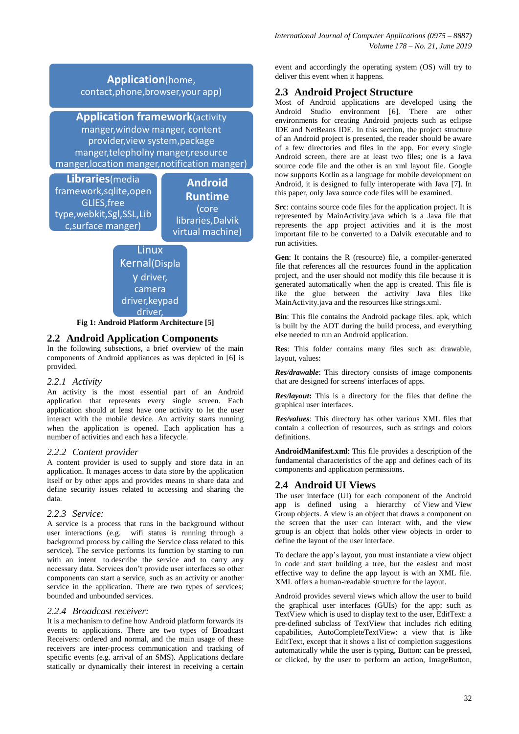# **Application**(home, contact,phone,browser,your app)

**Application framework**(activity manger,window manger, content provider,view system,package

manger,telepholny manger,resource manger,location manger,notification manger)

**Libraries**(media framework,sqlite,open GLlES,free type,webkit,Sgl,SSL,Lib c,surface manger)

**Android Runtime** (core libraries,Dalvik virtual machine)



**Fig 1: Android Platform Architecture [5]**

# **2.2 Android Application Components**

In the following subsections, a brief overview of the main components of Android appliances as was depicted in [6] is provided.

## *2.2.1 Activity*

An activity is the most essential part of an Android application that represents every single screen. Each application should at least have one activity to let the user interact with the mobile device. An activity starts running when the application is opened. Each application has a number of activities and each has a lifecycle.

## *2.2.2 Content provider*

A content provider is used to supply and store data in an application. It manages access to data store by the application itself or by other apps and provides means to share data and define security issues related to accessing and sharing the data.

## *2.2.3 Service:*

A service is a process that runs in the background without user interactions (e.g. wifi status is running through a background process by calling the [Service](https://developer.android.com/reference/android/app/Service.html) class related to this service). The service performs its function by starting to run with an [intent](https://developer.android.com/reference/android/content/Intent.html) to describe the service and to carry any necessary data. Services don't provide user interfaces so other components can start a service, such as an activity or another service in the application. There are two types of services; bounded and unbounded services.

#### *2.2.4 Broadcast receiver:*

It is a mechanism to define how Android platform forwards its events to applications. There are two types of Broadcast Receivers: ordered and normal, and the main usage of these receivers are inter-process communication and tracking of specific events (e.g. arrival of an SMS). Applications declare statically or dynamically their interest in receiving a certain

event and accordingly the operating system (OS) will try to deliver this event when it happens.

# **2.3 Android Project Structure**

Most of Android applications are developed using the Android Studio environment [6]. There are other environments for creating Android projects such as eclipse IDE and NetBeans IDE. In this section, the project structure of an Android project is presented, the reader should be aware of a few directories and files in the app. For every single Android screen, there are at least two files; one is a Java source code file and the other is an xml layout file. Google now supports Kotlin as a language for mobile development on Android, it is designed to fully interoperate with Java [7]. In this paper, only Java source code files will be examined.

**Src**: contains source code files for the application project. It is represented by MainActivity.java which is a Java file that represents the app project activities and it is the most important file to be converted to a Dalvik executable and to run activities.

**Gen**: It contains the R (resource) file, a compiler-generated file that references all the resources found in the application project, and the user should not modify this file because it is generated automatically when the app is created. This file is like the glue between the activity Java files like MainActivity.java and the resources like strings.xml.

**Bin**: This file contains the Android package files. apk, which is built by the ADT during the build process, and everything else needed to run an Android application.

**Res**: This folder contains many files such as: drawable, layout, values:

*Res/drawable*: This directory consists of image components that are designed for screens' interfaces of apps.

*Res/layout***:** This is a directory for the files that define the graphical user interfaces.

*Res/values*: This directory has other various XML files that contain a collection of resources, such as strings and colors definitions.

**AndroidManifest.xml**: This file provides a description of the fundamental characteristics of the app and defines each of its components and application permissions.

# **2.4 Android UI Views**

The user interface (UI) for each component of the Android app is defined using a hierarchy of [View](https://developer.android.com/reference/android/view/View.html) and [View](https://developer.android.com/reference/android/view/ViewGroup.html)  [Group](https://developer.android.com/reference/android/view/ViewGroup.html) objects. A [view](https://developer.android.com/reference/android/view/View.html) is an object that draws a component on the screen that the user can interact with, and the view group is an object that holds other view objects in order to define the layout of the user interface.

To declare the app's layout, you must instantiate a view object in code and start building a tree, but the easiest and most effective way to define the app layout is with an XML file. XML offers a human-readable structure for the layout.

Android provides several views which allow the user to build the graphical user interfaces (GUIs) for the app; such as TextView which is used to display text to the user, EditText: a pre-defined subclass of TextView that includes rich editing capabilities, AutoCompleteTextView: a view that is like EditText, except that it shows a list of completion suggestions automatically while the user is typing, Button: can be pressed, or clicked, by the user to perform an action, ImageButton,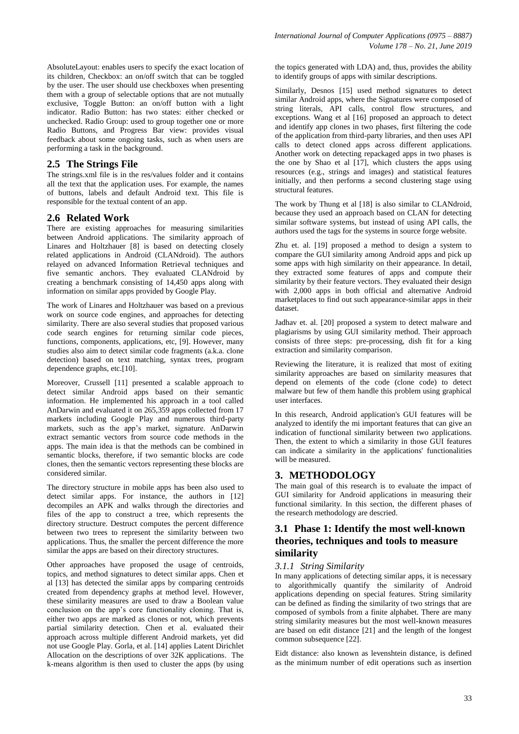AbsoluteLayout: enables users to specify the exact location of its children, Checkbox: an on/off switch that can be toggled by the user. The user should use checkboxes when presenting them with a group of selectable options that are not mutually exclusive, Toggle Button: an on/off button with a light indicator. Radio Button: has two states: either checked or unchecked. Radio Group: used to group together one or more Radio Buttons, and Progress Bar view: provides visual feedback about some ongoing tasks, such as when users are performing a task in the background.

#### **2.5 The Strings File**

The strings.xml file is in the res/values folder and it contains all the text that the application uses. For example, the names of buttons, labels and default Android text. This file is responsible for the textual content of an app.

#### **2.6 Related Work**

There are existing approaches for measuring similarities between Android applications. The similarity approach of Linares and Holtzhauer [8] is based on detecting closely related applications in Android (CLANdroid). The authors relayed on advanced Information Retrieval techniques and five semantic anchors. They evaluated CLANdroid by creating a benchmark consisting of 14,450 apps along with information on similar apps provided by Google Play.

The work of Linares and Holtzhauer was based on a previous work on source code engines, and approaches for detecting similarity. There are also several studies that proposed various code search engines for returning similar code pieces, functions, components, applications, etc, [9]. However, many studies also aim to detect similar code fragments (a.k.a. clone detection) based on text matching, syntax trees, program dependence graphs, etc.[10].

Moreover, Crussell [11] presented a scalable approach to detect similar Android apps based on their semantic information. He implemented his approach in a tool called AnDarwin and evaluated it on 265,359 apps collected from 17 markets including Google Play and numerous third-party markets, such as the app's market, signature. AnDarwin extract semantic vectors from source code methods in the apps. The main idea is that the methods can be combined in semantic blocks, therefore, if two semantic blocks are code clones, then the semantic vectors representing these blocks are considered similar.

The directory structure in mobile apps has been also used to detect similar apps. For instance, the authors in [12] decompiles an APK and walks through the directories and files of the app to construct a tree, which represents the directory structure. Destruct computes the percent difference between two trees to represent the similarity between two applications. Thus, the smaller the percent difference the more similar the apps are based on their directory structures.

Other approaches have proposed the usage of centroids, topics, and method signatures to detect similar apps. Chen et al [13] has detected the similar apps by comparing centroids created from dependency graphs at method level. However, these similarity measures are used to draw a Boolean value conclusion on the app's core functionality cloning. That is, either two apps are marked as clones or not, which prevents partial similarity detection. Chen et al. evaluated their approach across multiple different Android markets, yet did not use Google Play. Gorla, et al. [14] applies Latent Dirichlet Allocation on the descriptions of over 32K applications. The k-means algorithm is then used to cluster the apps (by using

the topics generated with LDA) and, thus, provides the ability to identify groups of apps with similar descriptions.

Similarly, Desnos [15] used method signatures to detect similar Android apps, where the Signatures were composed of string literals, API calls, control flow structures, and exceptions. Wang et al [16] proposed an approach to detect and identify app clones in two phases, first filtering the code of the application from third-party libraries, and then uses API calls to detect cloned apps across different applications. Another work on detecting repackaged apps in two phases is the one by Shao et al [17], which clusters the apps using resources (e.g., strings and images) and statistical features initially, and then performs a second clustering stage using structural features.

The work by Thung et al [18] is also similar to CLANdroid, because they used an approach based on CLAN for detecting similar software systems, but instead of using API calls, the authors used the tags for the systems in source forge website.

Zhu et. al. [19] proposed a method to design a system to compare the GUI similarity among Android apps and pick up some apps with high similarity on their appearance. In detail, they extracted some features of apps and compute their similarity by their feature vectors. They evaluated their design with 2,000 apps in both official and alternative Android marketplaces to find out such appearance-similar apps in their dataset.

Jadhav et. al. [20] proposed a system to detect malware and plagiarisms by using GUI similarity method. Their approach consists of three steps: pre-processing, dish fit for a king extraction and similarity comparison.

Reviewing the literature, it is realized that most of exiting similarity approaches are based on similarity measures that depend on elements of the code (clone code) to detect malware but few of them handle this problem using graphical user interfaces.

In this research, Android application's GUI features will be analyzed to identify the mi important features that can give an indication of functional similarity between two applications. Then, the extent to which a similarity in those GUI features can indicate a similarity in the applications' functionalities will be measured.

# **3. METHODOLOGY**

The main goal of this research is to evaluate the impact of GUI similarity for Android applications in measuring their functional similarity. In this section, the different phases of the research methodology are descried.

# **3.1 Phase 1: Identify the most well-known theories, techniques and tools to measure similarity**

## *3.1.1 String Similarity*

In many applications of detecting similar apps, it is necessary to algorithmically quantify the similarity of Android applications depending on special features. String similarity can be defined as finding the similarity of two strings that are composed of symbols from a finite alphabet. There are many string similarity measures but the most well-known measures are based on edit distance [21] and the length of the longest common subsequence [22].

Eidt distance: also known as levenshtein distance, is defined as the minimum number of edit operations such as insertion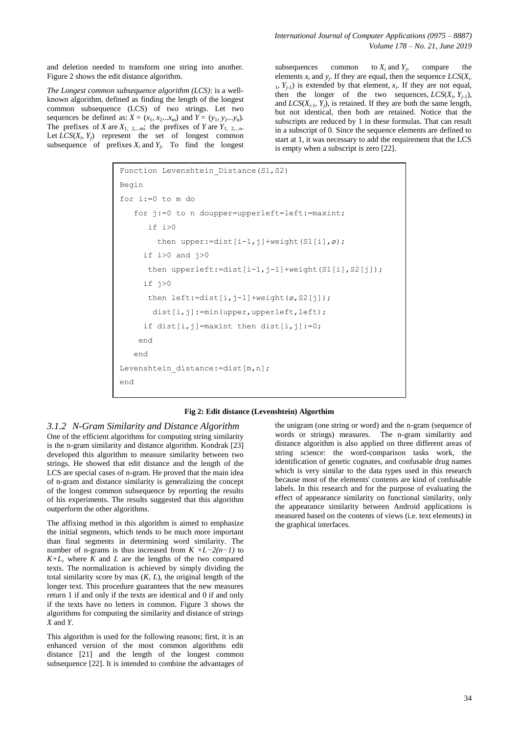and deletion needed to transform one string into another. Figure 2 shows the edit distance algorithm.

*The Longest common subsequence algorithm (LCS)*: is a wellknown algorithm, defined as finding the length of the longest common subsequence (LCS) of two strings. Let two sequences be defined as:  $X = (x_1, x_2...x_m)$  and  $Y = (y_1, y_2...y_n)$ . The prefixes of *X* are  $X_{1, 2,...m}$ ; the prefixes of *Y* are  $Y_{1, 2,...n}$ . Let  $LCS(X_i, Y_j)$  represent the set of longest common subsequence of prefixes  $X_i$  and  $Y_j$ . To find the longest

subsequences common to  $X_i$  and  $Y_j$ , , compare the elements  $x_i$  and  $y_j$ . If they are equal, then the sequence  $LCS(X_i)$ .  $Y_{j-1}$ ) is extended by that element,  $x_i$ . If they are not equal, then the longer of the two sequences,  $LCS(X_i, Y_{j-1})$ , and  $LCS(X_{i-1}, Y_i)$ , is retained. If they are both the same length, but not identical, then both are retained. Notice that the subscripts are reduced by 1 in these formulas. That can result in a subscript of 0. Since the sequence elements are defined to start at 1, it was necessary to add the requirement that the LCS is empty when a subscript is zero [22].

```
Function Levenshtein Distance(S1,S2)
Begin
for i:=0 to m do 
    for j:=0 to n doupper=upperleft=left:=maxint;
       if i>0
        then upper:=dist[i-1,j]+weight(S1[i],ø);
     if i>0 and i>0then upperleft:=dist[i-1,j-1]+weight(S1[i],S2[j]);
     if j>0then left:=dist[i,j-1]+weight(\emptyset, S2[j]);
       dist[i,j]:=min(upper,upperleft,left);
      if dist[i,j]=maxint then dist[i,j]:=0; 
     end 
    end 
Levenshtein distance:=dist[m,n];
end
```
#### **Fig 2: Edit distance (Levenshtein) Algorthim**

*3.1.2 N-Gram Similarity and Distance Algorithm* One of the efficient algorithms for computing string similarity is the n-gram similarity and distance algorithm. Kondrak [23] developed this algorithm to measure similarity between two strings. He showed that edit distance and the length of the LCS are special cases of n-gram. He proved that the main idea of n-gram and distance similarity is generalizing the concept of the longest common subsequence by reporting the results of his experiments. The results suggested that this algorithm outperform the other algorithms.

The affixing method in this algorithm is aimed to emphasize the initial segments, which tends to be much more important than final segments in determining word similarity. The number of n-grams is thus increased from *K +L−2(n−1)* to  $K+L$ , where  $\overline{K}$  and  $\overline{L}$  are the lengths of the two compared texts. The normalization is achieved by simply dividing the total similarity score by max  $(K, L)$ , the original length of the longer text. This procedure guarantees that the new measures return 1 if and only if the texts are identical and 0 if and only if the texts have no letters in common. Figure 3 shows the algorithms for computing the similarity and distance of strings *X* and *Y*.

This algorithm is used for the following reasons; first, it is an enhanced version of the most common algorithms edit distance [21] and the length of the longest common subsequence [22]. It is intended to combine the advantages of

the unigram (one string or word) and the n-gram (sequence of words or strings) measures. The n-gram similarity and distance algorithm is also applied on three different areas of string science: the word-comparison tasks work, the identification of genetic cognates, and confusable drug names which is very similar to the data types used in this research because most of the elements' contents are kind of confusable labels. In this research and for the purpose of evaluating the effect of appearance similarity on functional similarity, only the appearance similarity between Android applications is measured based on the contents of views (i.e. text elements) in the graphical interfaces.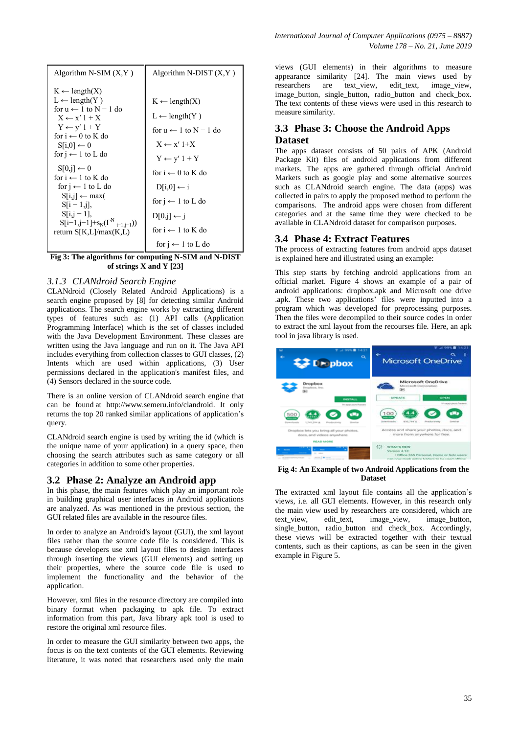| Algorithm N-SIM $(X, Y)$                                                                                                                                                                                                                                                                                                                                                                                                                                               | Algorithm N-DIST $(X, Y)$                                                                                                                                                                                                                                                                                                         |
|------------------------------------------------------------------------------------------------------------------------------------------------------------------------------------------------------------------------------------------------------------------------------------------------------------------------------------------------------------------------------------------------------------------------------------------------------------------------|-----------------------------------------------------------------------------------------------------------------------------------------------------------------------------------------------------------------------------------------------------------------------------------------------------------------------------------|
| $K \leftarrow length(X)$<br>$L \leftarrow$ length(Y)<br>for $u \leftarrow 1$ to $N - 1$ do<br>$X \leftarrow x' 1 + X$<br>$Y \leftarrow y' 1 + Y$<br>for $i \leftarrow 0$ to K do<br>$Si[.0] \leftarrow 0$<br>for $i \leftarrow 1$ to L do<br>$S[0,j] \leftarrow 0$<br>for $i \leftarrow 1$ to K do<br>for $i \leftarrow 1$ to L do<br>$S[i,j] \leftarrow max($<br>$S[i - 1, j]$ ,<br>$S[i,j-1]$ ,<br>$S[i-1,j-1]+s_N(\Gamma^N_{i-1,i-1}))$<br>return $S[K,L]/max(K,L)$ | $K \leftarrow length(X)$<br>$L \leftarrow$ length(Y)<br>for $u \leftarrow 1$ to $N - 1$ do<br>$X \leftarrow x' 1+X$<br>$Y \leftarrow y' 1 + Y$<br>for $i \leftarrow 0$ to K do<br>$D[i, 0] \leftarrow i$<br>for $i \leftarrow 1$ to L do<br>$D[0,i] \leftarrow i$<br>for $i \leftarrow 1$ to K do<br>for $i \leftarrow 1$ to L do |
|                                                                                                                                                                                                                                                                                                                                                                                                                                                                        |                                                                                                                                                                                                                                                                                                                                   |

Fig 3: The algorithms for computing N-SIM and N-DIST **of strings X and Y [23]** D[i + 1,j] + 1,j} + 1,j} + 1,j} + 1,j} + 1,j} + 1,j} + 1,j} + 1,j} + 1,j} + 1,j} + 1,j} + 1,j} + 1,j} + 1,j} + 1,j} + 1,j} + 1,j} + 1,j} + 1,j} + 1,j} + 1,j} + 1,j} + 1,j} + 1,j} + 1,j} + 1,j} + 1,j} + 1,j} + 1,j} + 1,j}

#### *3.1.3 CLANdroid Search Engine*

of the CLANdroid (Closely Related Android Applications) is a search engine proposed by [8] for detecting similar Android applications. The search engine works by extracting different types of features such as: (1) API calls (Application Programming Interface) which is the set of classes included with the Java Development Environment. These classes are written using the Java language and run on it. The Java API includes everything from collection classes to GUI classes, (2) Intents which are used within applications, (3) User permissions declared in the application's manifest files, and (4) Sensors declared in the source code.

There is an online version of CLANdroid search engine that can be found at http://www.semeru.info/clandroid. It only returns the top 20 ranked similar applications of application's query.

CLANdroid search engine is used by writing the id (which is the unique name of your application) in a query space, then choosing the search attributes such as same category or all categories in addition to some other properties.

#### **3.2 Phase 2: Analyze an Android app**

In this phase, the main features which play an important role in building graphical user interfaces in Android applications are analyzed. As was mentioned in the previous section, the GUI related files are available in the resource files.

In order to analyze an Android's layout (GUI), the xml layout files rather than the source code file is considered. This is because developers use xml layout files to design interfaces through inserting the views (GUI elements) and setting up their properties, where the source code file is used to implement the functionality and the behavior of the application.

However, xml files in the resource directory are compiled into binary format when packaging to apk file. To extract information from this part, Java library apk tool is used to restore the original xml resource files.

In order to measure the GUI similarity between two apps, the focus is on the text contents of the GUI elements. Reviewing literature, it was noted that researchers used only the main

views (GUI elements) in their algorithms to measure appearance similarity [24]. The main views used by researchers are text\_view, edit\_text, image\_view, image\_button, single\_button, radio\_button and check\_box. The text contents of these views were used in this research to measure similarity.

# **3.3 Phase 3: Choose the Android Apps Dataset**

The apps dataset consists of 50 pairs of APK (Android Package Kit) files of android applications from different markets. The apps are gathered through official Android Markets such as google play and some alternative sources such as CLANdroid search engine. The data (apps) was collected in pairs to apply the proposed method to perform the comparisons. The android apps were chosen from different categories and at the same time they were checked to be available in CLANdroid dataset for comparison purposes.

#### **3.4 Phase 4: Extract Features**

The process of extracting features from android apps dataset is explained here and illustrated using an example:

This step starts by fetching android applications from an official market. Figure 4 shows an example of a pair of android applications: dropbox.apk and Microsoft one drive .apk. These two applications' files were inputted into a program which was developed for preprocessing purposes. Then the files were decompiled to their source codes in order to extract the xml layout from the recourses file. Here, an apk tool in java library is used.



#### **Fig 4: An Example of two Android Applications from the Dataset**

The extracted xml layout file contains all the application's views, i.e. all GUI elements. However, in this research only the main view used by researchers are considered, which are text view, edit text, image view, image button, text\_view, edit\_text, image\_view, image\_button, single\_button, radio\_button and check\_box. Accordingly, these views will be extracted together with their textual contents, such as their captions, as can be seen in the given example in Figure 5.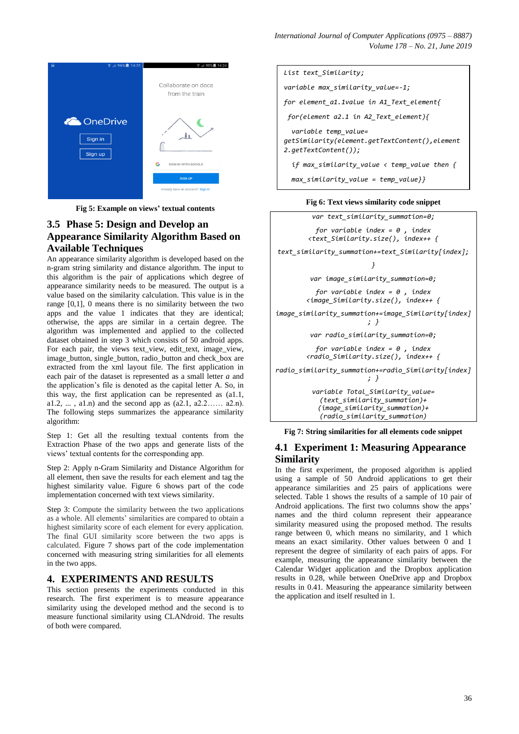*International Journal of Computer Applications (0975 – 8887) Volume 178 – No. 21, June 2019*



**Fig 5: Example on views' textual contents**

# **3.5 Phase 5: Design and Develop an Appearance Similarity Algorithm Based on Available Techniques**

An appearance similarity algorithm is developed based on the n-gram string similarity and distance algorithm. The input to this algorithm is the pair of applications which degree of appearance similarity needs to be measured. The output is a value based on the similarity calculation. This value is in the range [0,1], 0 means there is no similarity between the two apps and the value 1 indicates that they are identical; otherwise, the apps are similar in a certain degree. The algorithm was implemented and applied to the collected dataset obtained in step 3 which consists of 50 android apps. For each pair, the views text\_view, edit\_text, image\_view, image\_button, single\_button, radio\_button and check\_box are extracted from the xml layout file. The first application in each pair of the dataset is represented as a small letter *a* and the application's file is denoted as the capital letter A. So, in this way, the first application can be represented as (a1.1, a1.2, ..., a1.n) and the second app as  $(a2.1, a2.2... a2.n)$ . The following steps summarizes the appearance similarity algorithm:

Step 1: Get all the resulting textual contents from the Extraction Phase of the two apps and generate lists of the views' textual contents for the corresponding app.

Step 2: Apply n-Gram Similarity and Distance Algorithm for all element, then save the results for each element and tag the highest similarity value. Figure 6 shows part of the code implementation concerned with text views similarity.

Step 3: Compute the similarity between the two applications as a whole. All elements' similarities are compared to obtain a highest similarity score of each element for every application. The final GUI similarity score between the two apps is calculated. Figure 7 shows part of the code implementation concerned with measuring string similarities for all elements in the two apps.

#### **4. EXPERIMENTS AND RESULTS**

This section presents the experiments conducted in this research. The first experiment is to measure appearance similarity using the developed method and the second is to measure functional similarity using CLANdroid. The results of both were compared.



#### **Fig 6: Text views similarity code snippet**

*var text\_similarity\_summation=0; for variable index = 0 , index <text\_Similarity.size(), index++ { text\_similarity\_summation+=text\_Similarity[index]; } var image\_similarity\_summation=0; for variable index = 0 , index <image\_Similarity.size(), index++ { image\_similarity\_summation+=image\_Similarity[index] ; } var radio\_similarity\_summation=0; for variable index = 0 , index <radio\_Similarity.size(), index++ { radio\_similarity\_summation+=radio\_Similarity[index] ; } variable Total\_Similarity\_value= (text\_similarity\_summation)+ (image\_similarity\_summation)+ (radio\_similarity\_summation) max\_similarity\_value=-1;*

**Fig 7: String similarities for all elements code snippet**

## **4.1 Experiment 1: Measuring Appearance Similarity**

In the first experiment, the proposed algorithm is applied using a sample of 50 Android applications to get their appearance similarities and 25 pairs of applications were selected. Table 1 shows the results of a sample of 10 pair of Android applications. The first two columns show the apps' names and the third column represent their appearance similarity measured using the proposed method. The results range between 0, which means no similarity, and 1 which means an exact similarity. Other values between 0 and 1 represent the degree of similarity of each pairs of apps. For example, measuring the appearance similarity between the Calendar Widget application and the Dropbox application results in 0.28, while between OneDrive app and Dropbox results in 0.41. Measuring the appearance similarity between the application and itself resulted in 1.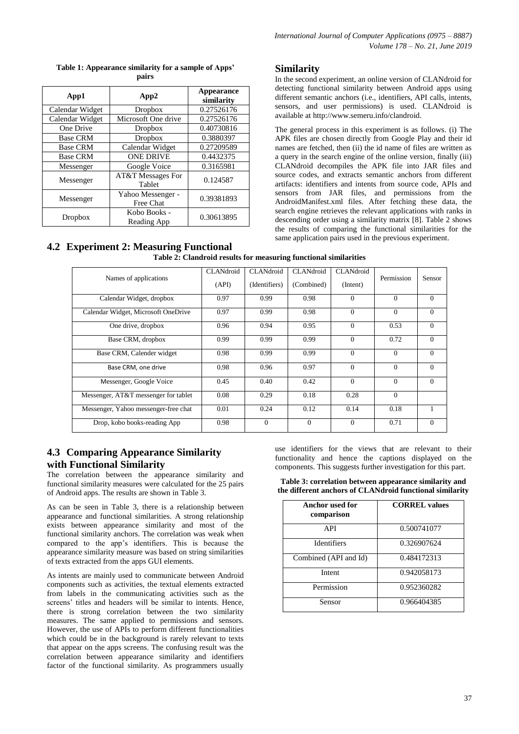| App1            | App2                           | Appearance<br>similarity |  |
|-----------------|--------------------------------|--------------------------|--|
| Calendar Widget | Dropbox                        | 0.27526176               |  |
| Calendar Widget | Microsoft One drive            | 0.27526176               |  |
| One Drive       | Dropbox                        | 0.40730816               |  |
| <b>Base CRM</b> | Dropbox                        | 0.3880397                |  |
| <b>Base CRM</b> | Calendar Widget                | 0.27209589               |  |
| <b>Base CRM</b> | <b>ONE DRIVE</b>               | 0.4432375                |  |
| Messenger       | Google Voice                   | 0.3165981                |  |
| Messenger       | AT&T Messages For<br>Tablet    | 0.124587                 |  |
| Messenger       | Yahoo Messenger -<br>Free Chat | 0.39381893               |  |
| Dropbox         | Kobo Books -<br>Reading App    | 0.30613895               |  |

#### **Table 1: Appearance similarity for a sample of Apps' pairs**

# **Similarity**

In the second experiment, an online version of CLANdroid for detecting functional similarity between Android apps using different semantic anchors (i.e., identifiers, API calls, intents, sensors, and user permissions) is used. CLANdroid is available at [http://www.semeru.info/clandroid.](http://www.semeru.info/clandroid)

The general process in this experiment is as follows. (i) The APK files are chosen directly from Google Play and their id names are fetched, then (ii) the id name of files are written as a query in the search engine of the online version, finally (iii) CLANdroid decompiles the APK file into JAR files and source codes, and extracts semantic anchors from different artifacts: identifiers and intents from source code, APIs and sensors from JAR files, and permissions from the AndroidManifest.xml files. After fetching these data, the search engine retrieves the relevant applications with ranks in descending order using a similarity matrix [8]. Table 2 shows the results of comparing the functional similarities for the same application pairs used in the previous experiment.

#### **4.2 Experiment 2: Measuring Functional Table 2: Clandroid results for measuring functional similarities**

|                                      | CLANdroid | CLANdroid     | CLANdroid  | CLANdroid |            |          |
|--------------------------------------|-----------|---------------|------------|-----------|------------|----------|
| Names of applications                |           |               |            |           | Permission | Sensor   |
|                                      | (API)     | (Identifiers) | (Combined) | (Intent)  |            |          |
|                                      |           |               |            |           |            |          |
| Calendar Widget, dropbox             | 0.97      | 0.99          | 0.98       | $\Omega$  | $\Omega$   | $\Omega$ |
|                                      |           |               |            |           |            |          |
| Calendar Widget, Microsoft OneDrive  | 0.97      | 0.99          | 0.98       | $\Omega$  | $\Omega$   | $\Omega$ |
|                                      |           |               |            |           |            |          |
| One drive, dropbox                   | 0.96      | 0.94          | 0.95       | $\Omega$  | 0.53       | $\Omega$ |
|                                      |           |               |            |           |            |          |
| Base CRM, dropbox                    | 0.99      | 0.99          | 0.99       | $\Omega$  | 0.72       | $\Omega$ |
|                                      |           |               |            |           |            |          |
| Base CRM, Calender widget            | 0.98      | 0.99          | 0.99       | $\Omega$  | $\Omega$   | $\Omega$ |
|                                      |           |               |            |           |            |          |
| Base CRM, one drive                  | 0.98      | 0.96          | 0.97       | $\Omega$  | $\Omega$   | $\Omega$ |
|                                      |           |               |            |           |            |          |
| Messenger, Google Voice              | 0.45      | 0.40          | 0.42       | $\Omega$  | $\Omega$   | $\Omega$ |
|                                      |           |               |            |           |            |          |
| Messenger, AT&T messenger for tablet | 0.08      | 0.29          | 0.18       | 0.28      | $\Omega$   |          |
|                                      |           |               |            |           |            |          |
| Messenger, Yahoo messenger-free chat | 0.01      | 0.24          | 0.12       | 0.14      | 0.18       | 1        |
|                                      |           |               |            |           |            |          |
| Drop, kobo books-reading App         | 0.98      | $\mathbf{0}$  | $\theta$   | $\Omega$  | 0.71       | $\theta$ |
|                                      |           |               |            |           |            |          |

# **4.3 Comparing Appearance Similarity with Functional Similarity**

The correlation between the appearance similarity and functional similarity measures were calculated for the 25 pairs of Android apps. The results are shown in Table 3.

As can be seen in Table 3, there is a relationship between appearance and functional similarities. A strong relationship exists between appearance similarity and most of the functional similarity anchors. The correlation was weak when compared to the app's identifiers. This is because the appearance similarity measure was based on string similarities of texts extracted from the apps GUI elements.

As intents are mainly used to communicate between Android components such as activities, the textual elements extracted from labels in the communicating activities such as the screens' titles and headers will be similar to intents. Hence, there is strong correlation between the two similarity measures. The same applied to permissions and sensors. However, the use of APIs to perform different functionalities which could be in the background is rarely relevant to texts that appear on the apps screens. The confusing result was the correlation between appearance similarity and identifiers factor of the functional similarity. As programmers usually

use identifiers for the views that are relevant to their functionality and hence the captions displayed on the components. This suggests further investigation for this part.

**Table 3: correlation between appearance similarity and the different anchors of CLANdroid functional similarity**

| Anchor used for<br>comparison | <b>CORREL values</b> |
|-------------------------------|----------------------|
| <b>API</b>                    | 0.500741077          |
| <b>Identifiers</b>            | 0.326907624          |
| Combined (API and Id)         | 0.484172313          |
| Intent                        | 0.942058173          |
| Permission                    | 0.952360282          |
| Sensor                        | 0.966404385          |